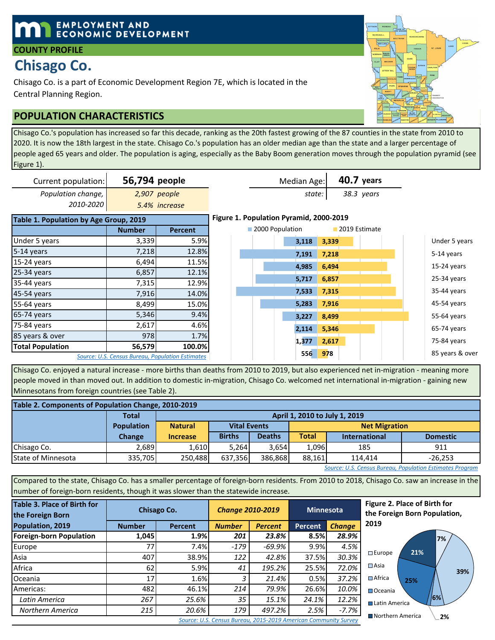## **EMPLOYMENT AND ECONOMIC DEVELOPMENT**

### **COUNTY PROFILE**

# **Chisago Co.**

Chisago Co. is a part of Economic Development Region 7E, which is located in the Central Planning Region.

## **POPULATION CHARACTERISTICS**

Chisago Co.'s population has increased so far this decade, ranking as the 20th fastest growing of the 87 counties in the state from 2010 to 2020. It is now the 18th largest in the state. Chisago Co.'s population has an older median age than the state and a larger percentage of people aged 65 years and older. The population is aging, especially as the Baby Boom generation moves through the population pyramid (see Figure 1).

| Current population:                    | 56,794 people                                    |                | Median Age:                             |       | <b>40.7 years</b> |                 |
|----------------------------------------|--------------------------------------------------|----------------|-----------------------------------------|-------|-------------------|-----------------|
| Population change,                     | 2,907 people                                     |                | state:                                  |       | 38.3 years        |                 |
| 2010-2020                              |                                                  | 5.4% increase  |                                         |       |                   |                 |
| Table 1. Population by Age Group, 2019 |                                                  |                | Figure 1. Population Pyramid, 2000-2019 |       |                   |                 |
|                                        | <b>Number</b>                                    | <b>Percent</b> | 2000 Population                         |       | 2019 Estimate     |                 |
| Under 5 years                          | 3,339                                            | 5.9%           | 3,118                                   | 3,339 |                   | Under 5 years   |
| 5-14 years                             | 7,218                                            | 12.8%          | 7,191                                   | 7,218 |                   | 5-14 years      |
| $15-24$ years                          | 6,494                                            | 11.5%          | 4,985                                   | 6,494 |                   | $15-24$ years   |
| 25-34 years                            | 6,857                                            | 12.1%          |                                         |       |                   |                 |
| 35-44 years                            | 7,315                                            | 12.9%          | 5,717                                   | 6,857 |                   | $25-34$ years   |
| 45-54 years                            | 7,916                                            | 14.0%          | 7,533                                   | 7,315 |                   | 35-44 years     |
| 55-64 years                            | 8,499                                            | 15.0%          | 5,283                                   | 7,916 |                   | 45-54 years     |
| 65-74 years                            | 5,346                                            | 9.4%           | 3,227                                   | 8,499 |                   | 55-64 years     |
| 75-84 years                            | 2,617                                            | 4.6%           | 2,114                                   | 5,346 |                   | 65-74 years     |
| 85 years & over                        | 978                                              | 1.7%           |                                         |       |                   |                 |
| <b>Total Population</b>                | 56,579                                           | 100.0%         | 1,377                                   | 2,617 |                   | 75-84 years     |
|                                        | Source: U.S. Census Bureau, Population Estimates |                | 556                                     | 978   |                   | 85 years & over |

Chisago Co. enjoyed a natural increase - more births than deaths from 2010 to 2019, but also experienced net in-migration - meaning more people moved in than moved out. In addition to domestic in-migration, Chisago Co. welcomed net international in-migration - gaining new Minnesotans from foreign countries (see Table 2).

| Table 2. Components of Population Change, 2010-2019 |                   |                 |                                             |               |              |                                         |           |  |  |  |  |
|-----------------------------------------------------|-------------------|-----------------|---------------------------------------------|---------------|--------------|-----------------------------------------|-----------|--|--|--|--|
|                                                     | <b>Total</b>      |                 | April 1, 2010 to July 1, 2019               |               |              |                                         |           |  |  |  |  |
|                                                     | <b>Population</b> | <b>Natural</b>  | <b>Vital Events</b><br><b>Net Migration</b> |               |              |                                         |           |  |  |  |  |
|                                                     | <b>Change</b>     | <b>Increase</b> | <b>Births</b>                               | <b>Deaths</b> | <b>Total</b> | <b>Domestic</b><br><b>International</b> |           |  |  |  |  |
| Chisago Co.                                         | 2,689             | 1,610           | 5.264                                       | 3.654         | 1.096        | 185                                     | 911       |  |  |  |  |
| State of Minnesota                                  | 335,705           | 250.488         | 637,356                                     | 386.868       | 88.161       | 114.414                                 | $-26,253$ |  |  |  |  |

*Source: U.S. Census Bureau, Population Estimates Program*

Compared to the state, Chisago Co. has a smaller percentage of foreign-born residents. From 2010 to 2018, Chisago Co. saw an increase in the number of foreign-born residents, though it was slower than the statewide increase.

| Table 3. Place of Birth for<br>the Foreign Born |               | Chisago Co.    | <b>Change 2010-2019</b> |                | <b>Minnesota</b> |               |  |
|-------------------------------------------------|---------------|----------------|-------------------------|----------------|------------------|---------------|--|
| Population, 2019                                | <b>Number</b> | <b>Percent</b> | <b>Number</b>           | <b>Percent</b> | <b>Percent</b>   | <b>Change</b> |  |
| <b>Foreign-born Population</b>                  | 1,045         | 1.9%           | 201                     | 23.8%          | 8.5%             | 28.9%         |  |
| Europe                                          | 77            | 7.4%           | -179                    | $-69.9%$       | 9.9%             | 4.5%          |  |
| Asia                                            | 407           | 38.9%          | 122                     | 42.8%          | 37.5%            | 30.3%         |  |
| Africa                                          | 62            | 5.9%           | 41                      | 195.2%         | 25.5%            | 72.0%         |  |
| <b>Oceania</b>                                  | 17            | 1.6%           | 3                       | 21.4%          | 0.5%             | 37.2%         |  |
| Americas:                                       | 482           | 46.1%          | 214                     | 79.9%          | 26.6%            | 10.0%         |  |
| Latin America                                   | 267           | 25.6%          | 35                      | 15.1%          | 24.1%            | 12.2%         |  |
| Northern America                                | 215           | 20.6%          | 179                     | 497.2%         | 2.5%             | $-7.7\%$      |  |







*Source: U.S. Census Bureau, 2015-2019 American Community Survey*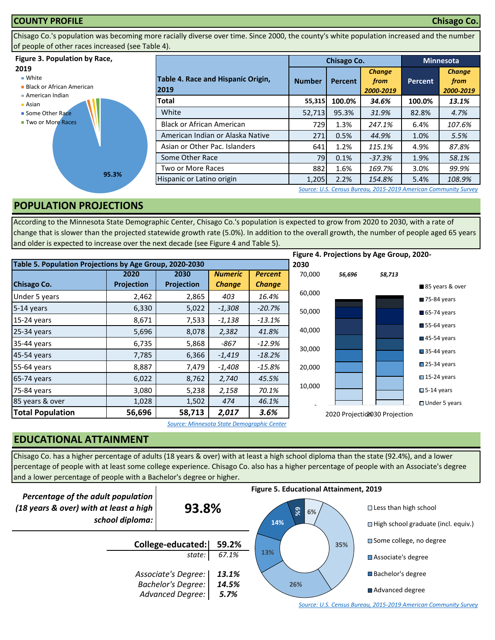#### **COUNTY PROFILE Chisago Co.**

Chisago Co.'s population was becoming more racially diverse over time. Since 2000, the county's white population increased and the number of people of other races increased (see Table 4).

#### **Figure 3. Population by Race,**

#### **2019**

■ White

- **Black or African American**
- American Indian
- Asian
- Some Other Race **Two or More Races**



|                                            |               | Chisago Co. | <b>Minnesota</b>                   |                |                                    |
|--------------------------------------------|---------------|-------------|------------------------------------|----------------|------------------------------------|
| Table 4. Race and Hispanic Origin,<br>2019 | <b>Number</b> | Percent     | <b>Change</b><br>from<br>2000-2019 | <b>Percent</b> | <b>Change</b><br>from<br>2000-2019 |
| Total                                      | 55,315        | 100.0%      | 34.6%                              | 100.0%         | 13.1%                              |
| White                                      | 52,713        | 95.3%       | 31.9%                              | 82.8%          | 4.7%                               |
| <b>Black or African American</b>           | 729           | 1.3%        | 247.1%                             | 6.4%           | 107.6%                             |
| American Indian or Alaska Native           | 271           | 0.5%        | 44.9%                              | 1.0%           | 5.5%                               |
| Asian or Other Pac. Islanders              | 641           | 1.2%        | 115.1%                             | 4.9%           | 87.8%                              |
| Some Other Race                            | 79            | 0.1%        | $-37.3%$                           | 1.9%           | 58.1%                              |
| Two or More Races                          | 882           | 1.6%        | 169.7%                             | 3.0%           | 99.9%                              |
| Hispanic or Latino origin                  | 1,205         | 2.2%        | 154.8%                             | 5.4%           | 108.9%                             |

*[S](http://factfinder.census.gov/faces/nav/jsf/pages/searchresults.xhtml?refresh=t)ource: U.S. Census Bureau, 2015-2019 American Community Survey*

## **POPULATION PROJECTIONS**

According to the Minnesota State Demographic Center, Chisago Co.'s population is expected to grow from 2020 to 2030, with a rate of change that is slower than the projected statewide growth rate (5.0%). In addition to the overall growth, the number of people aged 65 years and older is expected to increase over the next decade (see Figure 4 and Table 5).

|                                                         |            |            |                |                |        |        | Figure 4. Projections by Age Group, 2020- |                            |
|---------------------------------------------------------|------------|------------|----------------|----------------|--------|--------|-------------------------------------------|----------------------------|
| Table 5. Population Projections by Age Group, 2020-2030 |            |            |                |                | 2030   |        |                                           |                            |
|                                                         | 2020       | 2030       | <b>Numeric</b> | <b>Percent</b> | 70,000 | 56,696 | 58,713                                    |                            |
| <b>Chisago Co.</b>                                      | Projection | Projection | <b>Change</b>  | <b>Change</b>  |        |        |                                           | 85 years & over            |
| Under 5 years                                           | 2,462      | 2,865      | 403            | 16.4%          | 60,000 |        |                                           | 75-84 years                |
| 5-14 years                                              | 6,330      | 5,022      | $-1,308$       | $-20.7%$       | 50,000 |        |                                           | $65-74$ years              |
| $15-24$ years                                           | 8,671      | 7,533      | $-1,138$       | $-13.1%$       |        |        |                                           |                            |
| 25-34 years                                             | 5,696      | 8,078      | 2,382          | 41.8%          | 40,000 |        |                                           | 55-64 years                |
| 35-44 years                                             | 6,735      | 5,868      | $-867$         | $-12.9%$       |        |        |                                           | $\blacksquare$ 45-54 years |
| 45-54 years                                             | 7,785      | 6,366      | $-1,419$       | $-18.2%$       | 30,000 |        |                                           | $\blacksquare$ 35-44 years |
| 55-64 years                                             | 8,887      | 7,479      | $-1,408$       | $-15.8\%$      | 20,000 |        |                                           | 25-34 years                |
| 65-74 years                                             | 6,022      | 8,762      | 2,740          | 45.5%          |        |        |                                           | $\square$ 15-24 years      |
| 75-84 years                                             | 3,080      | 5,238      | 2,158          | 70.1%          | 10,000 |        |                                           | $\square$ 5-14 years       |
| 85 years & over                                         | 1,028      | 1,502      | 474            | 46.1%          |        |        |                                           | □ Under 5 years            |
| <b>Total Population</b>                                 | 56,696     | 58,713     | 2,017          | 3.6%           |        |        | 2020 Projection 30 Projection             |                            |

*Source: Minnesota State Demographic Center*

## **EDUCATIONAL ATTAINMENT**

Chisago Co. has a higher percentage of adults (18 years & over) with at least a high school diploma than the state (92.4%), and a lower percentage of people with at least some college experience. Chisago Co. also has a higher percentage of people with an Associate's degree and a lower percentage of people with a Bachelor's degree or higher.



*[S](http://factfinder.census.gov/faces/nav/jsf/pages/searchresults.xhtml?refresh=t)ource: U.S. Census Bureau, 2015-2019 American Community Survey*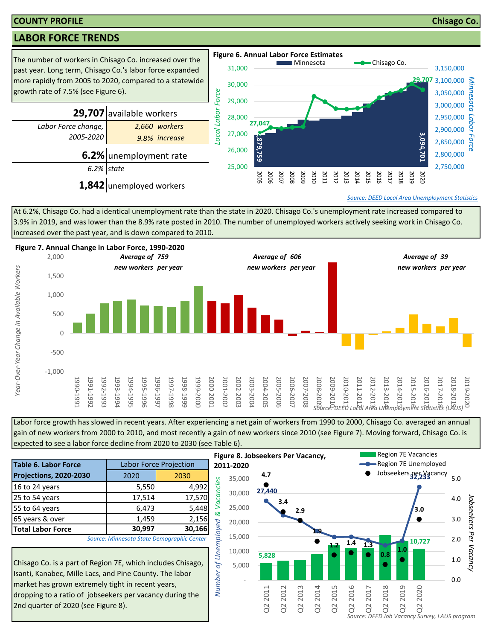#### **COUNTY PROFILE Chisago Co.**

## **LABOR FORCE TRENDS**



At 6.2%, Chisago Co. had a identical unemployment rate than the state in 2020. Chisago Co.'s unemployment rate increased compared to 3.9% in 2019, and was lower than the 8.9% rate posted in 2010. The number of unemployed workers actively seeking work in Chisago Co. increased over the past year, and is down compared to 2010.



Labor force growth has slowed in recent years. After experiencing a net gain of workers from 1990 to 2000, Chisago Co. averaged an annual gain of new workers from 2000 to 2010, and most recently a gain of new workers since 2010 (see Figure 7). Moving forward, Chisago Co. is expected to see a labor force decline from 2020 to 2030 (see Table 6).

| . . 5                                                                                                                                                                                                                                    |       |                               |           |  |  |  |  |  |
|------------------------------------------------------------------------------------------------------------------------------------------------------------------------------------------------------------------------------------------|-------|-------------------------------|-----------|--|--|--|--|--|
| <b>Table 6. Labor Force</b>                                                                                                                                                                                                              |       | <b>Labor Force Projection</b> | 20        |  |  |  |  |  |
| Projections, 2020-2030                                                                                                                                                                                                                   | 2020  | 2030                          |           |  |  |  |  |  |
| 16 to 24 years                                                                                                                                                                                                                           | 5,550 | 4,992                         | Vacancies |  |  |  |  |  |
| 17,570<br>25 to 54 years<br>17,514                                                                                                                                                                                                       |       |                               |           |  |  |  |  |  |
| 5,448<br>55 to 64 years<br>6,473                                                                                                                                                                                                         |       |                               |           |  |  |  |  |  |
| 65 years & over<br>1,459<br>2,156                                                                                                                                                                                                        |       |                               |           |  |  |  |  |  |
| 30,997<br>30,166<br><b>Total Labor Force</b>                                                                                                                                                                                             |       |                               |           |  |  |  |  |  |
| of Unemployed &<br>Source: Minnesota State Demographic Center                                                                                                                                                                            |       |                               |           |  |  |  |  |  |
| Chisago Co. is a part of Region 7E, which includes Chisago,<br>Isanti, Kanabec, Mille Lacs, and Pine County. The labor<br>market has grown extremely tight in recent years,<br>ldronning to a ratio of jobseekers ner vacancy during the |       |                               |           |  |  |  |  |  |

Chisago Co. is a part of Region 7E, which includes Chisago, Isanti, Kanabec, Mille Lacs, and Pine County. The labor market has grown extremely tight in recent years, dropping to a ratio of jobseekers per vacancy during the 2nd quarter of 2020 (see Figure 8).

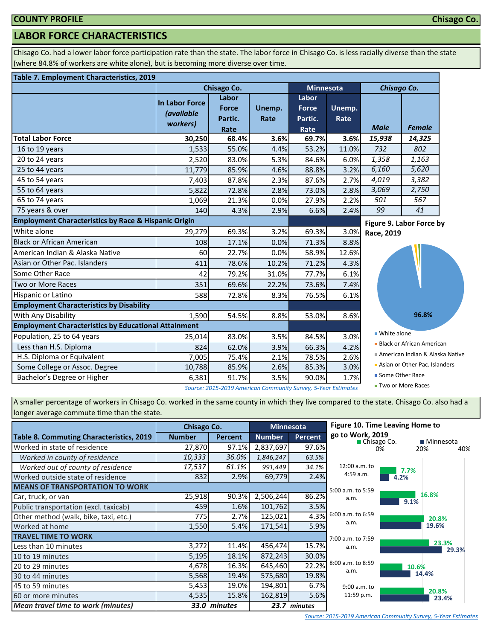## **LABOR FORCE CHARACTERISTICS**

Chisago Co. had a lower labor force participation rate than the state. The labor force in Chisago Co. is less racially diverse than the state (where 84.8% of workers are white alone), but is becoming more diverse over time.

#### **Table 7. Employment Characteristics, 2019**

| Labor<br>Labor<br><b>In Labor Force</b><br>Unemp.<br><b>Force</b><br><b>Force</b><br>Unemp.<br><i>(available</i><br>Rate<br>Partic.<br>Rate<br>Partic.<br>workers)<br><b>Male</b><br><b>Female</b><br>Rate<br>Rate<br><b>Total Labor Force</b><br>15,938<br>68.4%<br>3.6%<br>69.7%<br>14,325<br>30,250<br>3.6%<br>732<br>802<br>16 to 19 years<br>1,533<br>55.0%<br>4.4%<br>53.2%<br>11.0%<br>1,358<br>20 to 24 years<br>83.0%<br>5.3%<br>84.6%<br>6.0%<br>1,163<br>2,520<br>5,620<br>6,160<br>25 to 44 years<br>11,779<br>85.9%<br>4.6%<br>88.8%<br>3.2%<br>45 to 54 years<br>4,019<br>3,382<br>7,403<br>87.8%<br>2.3%<br>87.6%<br>2.7%<br>55 to 64 years<br>3,069<br>2,750<br>5,822<br>73.0%<br>72.8%<br>2.8%<br>2.8%<br>2.2%<br>501<br>567<br>65 to 74 years<br>0.0%<br>27.9%<br>1,069<br>21.3%<br>75 years & over<br>99<br>41<br>4.3%<br>6.6%<br>2.4%<br>140<br>2.9%<br>Figure 9. Labor Force by<br>White alone<br>69.3%<br>69.3%<br>29,279<br>3.2%<br>3.0%<br>Race, 2019<br><b>Black or African American</b><br>108<br>17.1%<br>0.0%<br>71.3%<br>8.8%<br>American Indian & Alaska Native<br>60<br>22.7%<br>0.0%<br>58.9%<br>12.6%<br>Asian or Other Pac. Islanders<br>4.3%<br>411<br>78.6%<br>10.2%<br>71.2%<br>Some Other Race<br>42<br>79.2%<br>31.0%<br>77.7%<br>6.1%<br>Two or More Races<br>351<br>69.6%<br>7.4%<br>22.2%<br>73.6%<br><b>Hispanic or Latino</b><br>588<br>72.8%<br>8.3%<br>76.5%<br>6.1%<br>1,590<br>54.5%<br>96.8%<br>8.8%<br>53.0%<br>8.6%<br>■ White alone<br>83.0%<br>84.5%<br>Population, 25 to 64 years<br>3.5%<br>25,014<br>3.0%<br><b>Black or African American</b> |                        |     | Chisago Co. |      | <b>Minnesota</b> |      | Chisago Co. |  |  |
|-------------------------------------------------------------------------------------------------------------------------------------------------------------------------------------------------------------------------------------------------------------------------------------------------------------------------------------------------------------------------------------------------------------------------------------------------------------------------------------------------------------------------------------------------------------------------------------------------------------------------------------------------------------------------------------------------------------------------------------------------------------------------------------------------------------------------------------------------------------------------------------------------------------------------------------------------------------------------------------------------------------------------------------------------------------------------------------------------------------------------------------------------------------------------------------------------------------------------------------------------------------------------------------------------------------------------------------------------------------------------------------------------------------------------------------------------------------------------------------------------------------------------------------------------------------------------------------------------------|------------------------|-----|-------------|------|------------------|------|-------------|--|--|
|                                                                                                                                                                                                                                                                                                                                                                                                                                                                                                                                                                                                                                                                                                                                                                                                                                                                                                                                                                                                                                                                                                                                                                                                                                                                                                                                                                                                                                                                                                                                                                                                       |                        |     |             |      |                  |      |             |  |  |
| <b>Employment Characteristics by Race &amp; Hispanic Origin</b><br><b>Employment Characteristics by Disability</b><br>With Any Disability<br><b>Employment Characteristics by Educational Attainment</b>                                                                                                                                                                                                                                                                                                                                                                                                                                                                                                                                                                                                                                                                                                                                                                                                                                                                                                                                                                                                                                                                                                                                                                                                                                                                                                                                                                                              |                        |     |             |      |                  |      |             |  |  |
|                                                                                                                                                                                                                                                                                                                                                                                                                                                                                                                                                                                                                                                                                                                                                                                                                                                                                                                                                                                                                                                                                                                                                                                                                                                                                                                                                                                                                                                                                                                                                                                                       |                        |     |             |      |                  |      |             |  |  |
|                                                                                                                                                                                                                                                                                                                                                                                                                                                                                                                                                                                                                                                                                                                                                                                                                                                                                                                                                                                                                                                                                                                                                                                                                                                                                                                                                                                                                                                                                                                                                                                                       |                        |     |             |      |                  |      |             |  |  |
|                                                                                                                                                                                                                                                                                                                                                                                                                                                                                                                                                                                                                                                                                                                                                                                                                                                                                                                                                                                                                                                                                                                                                                                                                                                                                                                                                                                                                                                                                                                                                                                                       |                        |     |             |      |                  |      |             |  |  |
|                                                                                                                                                                                                                                                                                                                                                                                                                                                                                                                                                                                                                                                                                                                                                                                                                                                                                                                                                                                                                                                                                                                                                                                                                                                                                                                                                                                                                                                                                                                                                                                                       |                        |     |             |      |                  |      |             |  |  |
|                                                                                                                                                                                                                                                                                                                                                                                                                                                                                                                                                                                                                                                                                                                                                                                                                                                                                                                                                                                                                                                                                                                                                                                                                                                                                                                                                                                                                                                                                                                                                                                                       |                        |     |             |      |                  |      |             |  |  |
|                                                                                                                                                                                                                                                                                                                                                                                                                                                                                                                                                                                                                                                                                                                                                                                                                                                                                                                                                                                                                                                                                                                                                                                                                                                                                                                                                                                                                                                                                                                                                                                                       |                        |     |             |      |                  |      |             |  |  |
|                                                                                                                                                                                                                                                                                                                                                                                                                                                                                                                                                                                                                                                                                                                                                                                                                                                                                                                                                                                                                                                                                                                                                                                                                                                                                                                                                                                                                                                                                                                                                                                                       |                        |     |             |      |                  |      |             |  |  |
|                                                                                                                                                                                                                                                                                                                                                                                                                                                                                                                                                                                                                                                                                                                                                                                                                                                                                                                                                                                                                                                                                                                                                                                                                                                                                                                                                                                                                                                                                                                                                                                                       |                        |     |             |      |                  |      |             |  |  |
|                                                                                                                                                                                                                                                                                                                                                                                                                                                                                                                                                                                                                                                                                                                                                                                                                                                                                                                                                                                                                                                                                                                                                                                                                                                                                                                                                                                                                                                                                                                                                                                                       |                        |     |             |      |                  |      |             |  |  |
|                                                                                                                                                                                                                                                                                                                                                                                                                                                                                                                                                                                                                                                                                                                                                                                                                                                                                                                                                                                                                                                                                                                                                                                                                                                                                                                                                                                                                                                                                                                                                                                                       |                        |     |             |      |                  |      |             |  |  |
|                                                                                                                                                                                                                                                                                                                                                                                                                                                                                                                                                                                                                                                                                                                                                                                                                                                                                                                                                                                                                                                                                                                                                                                                                                                                                                                                                                                                                                                                                                                                                                                                       |                        |     |             |      |                  |      |             |  |  |
|                                                                                                                                                                                                                                                                                                                                                                                                                                                                                                                                                                                                                                                                                                                                                                                                                                                                                                                                                                                                                                                                                                                                                                                                                                                                                                                                                                                                                                                                                                                                                                                                       |                        |     |             |      |                  |      |             |  |  |
|                                                                                                                                                                                                                                                                                                                                                                                                                                                                                                                                                                                                                                                                                                                                                                                                                                                                                                                                                                                                                                                                                                                                                                                                                                                                                                                                                                                                                                                                                                                                                                                                       |                        |     |             |      |                  |      |             |  |  |
|                                                                                                                                                                                                                                                                                                                                                                                                                                                                                                                                                                                                                                                                                                                                                                                                                                                                                                                                                                                                                                                                                                                                                                                                                                                                                                                                                                                                                                                                                                                                                                                                       |                        |     |             |      |                  |      |             |  |  |
|                                                                                                                                                                                                                                                                                                                                                                                                                                                                                                                                                                                                                                                                                                                                                                                                                                                                                                                                                                                                                                                                                                                                                                                                                                                                                                                                                                                                                                                                                                                                                                                                       |                        |     |             |      |                  |      |             |  |  |
|                                                                                                                                                                                                                                                                                                                                                                                                                                                                                                                                                                                                                                                                                                                                                                                                                                                                                                                                                                                                                                                                                                                                                                                                                                                                                                                                                                                                                                                                                                                                                                                                       |                        |     |             |      |                  |      |             |  |  |
|                                                                                                                                                                                                                                                                                                                                                                                                                                                                                                                                                                                                                                                                                                                                                                                                                                                                                                                                                                                                                                                                                                                                                                                                                                                                                                                                                                                                                                                                                                                                                                                                       |                        |     |             |      |                  |      |             |  |  |
|                                                                                                                                                                                                                                                                                                                                                                                                                                                                                                                                                                                                                                                                                                                                                                                                                                                                                                                                                                                                                                                                                                                                                                                                                                                                                                                                                                                                                                                                                                                                                                                                       |                        |     |             |      |                  |      |             |  |  |
|                                                                                                                                                                                                                                                                                                                                                                                                                                                                                                                                                                                                                                                                                                                                                                                                                                                                                                                                                                                                                                                                                                                                                                                                                                                                                                                                                                                                                                                                                                                                                                                                       |                        |     |             |      |                  |      |             |  |  |
|                                                                                                                                                                                                                                                                                                                                                                                                                                                                                                                                                                                                                                                                                                                                                                                                                                                                                                                                                                                                                                                                                                                                                                                                                                                                                                                                                                                                                                                                                                                                                                                                       | Less than H.S. Diploma | 824 | 62.0%       | 3.9% | 66.3%            | 4.2% |             |  |  |
| American Indian & Alaska Native<br>H.S. Diploma or Equivalent<br>75.4%<br>78.5%<br>2.6%<br>7,005<br>2.1%                                                                                                                                                                                                                                                                                                                                                                                                                                                                                                                                                                                                                                                                                                                                                                                                                                                                                                                                                                                                                                                                                                                                                                                                                                                                                                                                                                                                                                                                                              |                        |     |             |      |                  |      |             |  |  |
| Asian or Other Pac. Islanders<br>Some College or Assoc. Degree<br>10,788<br>85.9%<br>85.3%<br>3.0%<br>2.6%                                                                                                                                                                                                                                                                                                                                                                                                                                                                                                                                                                                                                                                                                                                                                                                                                                                                                                                                                                                                                                                                                                                                                                                                                                                                                                                                                                                                                                                                                            |                        |     |             |      |                  |      |             |  |  |
| ■ Some Other Race<br>Bachelor's Degree or Higher<br>91.7%<br>3.5%<br>90.0%<br>1.7%<br>6,381<br>■ Two or More Races                                                                                                                                                                                                                                                                                                                                                                                                                                                                                                                                                                                                                                                                                                                                                                                                                                                                                                                                                                                                                                                                                                                                                                                                                                                                                                                                                                                                                                                                                    |                        |     |             |      |                  |      |             |  |  |

A smaller percentage of workers in Chisago Co. worked in the same county in which they live compared to the state. Chisago Co. also had a longer average commute time than the state.

|                                                 | <b>Chisago Co.</b> |                | <b>Minnesota</b> |         | Figure 10. Time Leaving Home to   |       |                     |
|-------------------------------------------------|--------------------|----------------|------------------|---------|-----------------------------------|-------|---------------------|
| <b>Table 8. Commuting Characteristics, 2019</b> | <b>Number</b>      | <b>Percent</b> | <b>Number</b>    | Percent | go to Work, 2019<br>■ Chisago Co. |       | $\blacksquare$ Minn |
| Worked in state of residence                    | 27,870             | 97.1%          | 2,837,697        | 97.6%   |                                   | 0%    | 20%                 |
| Worked in county of residence                   | 10,333             | 36.0%          | 1,846,247        | 63.5%   |                                   |       |                     |
| Worked out of county of residence               | 17,537             | 61.1%          | 991,449          | 34.1%   | 12:00 a.m. to                     | 7.7%  |                     |
| Worked outside state of residence               | 832                | 2.9%           | 69,779           | 2.4%    | 4:59 a.m.                         | 4.2%  |                     |
| <b>MEANS OF TRANSPORTATION TO WORK</b>          |                    |                |                  |         | 5:00 a.m. to 5:59                 |       |                     |
| Car, truck, or van                              | 25,918             | 90.3%          | 2,506,244        | 86.2%   | a.m.                              | 9.1%  | 16.8%               |
| Public transportation (excl. taxicab)           | 459                | 1.6%           | 101,762          | 3.5%    |                                   |       |                     |
| Other method (walk, bike, taxi, etc.)           | 775                | 2.7%           | 125,021          | 4.3%    | 6:00 a.m. to 6:59                 |       | 20.8                |
| Worked at home                                  | 1,550              | 5.4%           | 171,541          | 5.9%    | a.m.                              |       | 19.69               |
| <b>TRAVEL TIME TO WORK</b>                      |                    |                |                  |         | 7:00 a.m. to 7:59                 |       |                     |
| Less than 10 minutes                            | 3,272              | 11.4%          | 456,474          | 15.7%   | a.m.                              |       | 23                  |
| 10 to 19 minutes                                | 5,195              | 18.1%          | 872,243          | 30.0%   |                                   |       |                     |
| 20 to 29 minutes                                | 4,678              | 16.3%          | 645,460          | 22.2%   | 8:00 a.m. to 8:59<br>a.m.         | 10.6% |                     |
| 30 to 44 minutes                                | 5,568              | 19.4%          | 575,680          | 19.8%   |                                   |       | 14.4%               |
| 45 to 59 minutes                                | 5,453              | 19.0%          | 194,801          | 6.7%    | $9:00$ a.m. to                    |       |                     |
| 60 or more minutes                              | 4,535              | 15.8%          | 162,819          | 5.6%    | 11:59 p.m.                        |       | 20.8<br>23          |
| Mean travel time to work (minutes)              | 33.0               | minutes        | 23.7             | minutes |                                   |       |                     |

#### **Chisago Co.**

**20.8%**

**19.6%**

**20.8%**

**23.4%**

**23.3%**

0% 20% 40%

**Minnesota** 

**29.3%**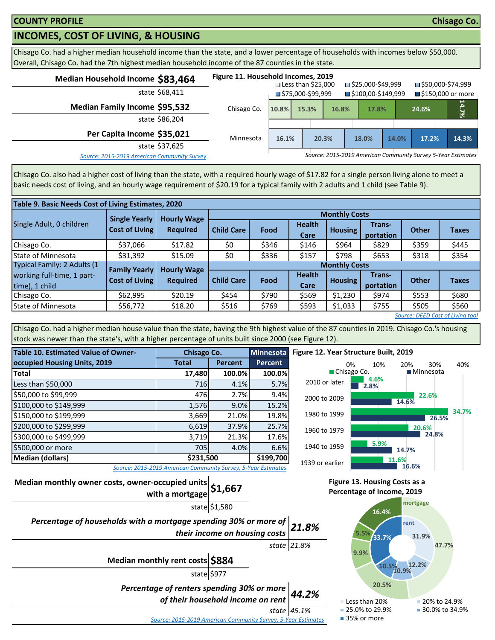## **INCOMES, COST OF LIVING, & HOUSING**

Chisago Co. had a higher median household income than the state, and a lower percentage of households with incomes below \$50,000. Overall, Chisago Co. had the 7th highest median household income of the 87 counties in the state.

| Median Household Income \$83,464            |                | Figure 11. Household Incomes, 2019 |       | $\square$ Less than \$25,000 |       | □ \$25,000-\$49,999 |       | ■\$50,000-\$74,999                                           |         |
|---------------------------------------------|----------------|------------------------------------|-------|------------------------------|-------|---------------------|-------|--------------------------------------------------------------|---------|
|                                             | state \$68,411 |                                    |       | ■\$75,000-\$99,999           |       | ■\$100,00-\$149,999 |       | ■ \$150,000 or more                                          |         |
| Median Family Income \$95,532               |                | Chisago Co.                        | 10.8% | 15.3%                        | 16.8% | 17.8%               |       | 24.6%                                                        | $4.7\%$ |
|                                             | state \$86,204 |                                    |       |                              |       |                     |       |                                                              |         |
| Per Capita Income \$35,021                  |                | Minnesota                          | 16.1% |                              | 20.3% | 18.0%               | 14.0% | 17.2%                                                        | 14.3%   |
|                                             | state \$37,625 |                                    |       |                              |       |                     |       |                                                              |         |
| Source: 2015-2019 American Community Survey |                |                                    |       |                              |       |                     |       | Source: 2015-2019 American Community Survey 5-Year Estimates |         |

Chisago Co. also had a higher cost of living than the state, with a required hourly wage of \$17.82 for a single person living alone to meet a basic needs cost of living, and an hourly wage requirement of \$20.19 for a typical family with 2 adults and 1 child (see Table 9).

| Table 9. Basic Needs Cost of Living Estimates, 2020 |                       |                    |                   |                      |                       |                |                     |              |              |  |  |
|-----------------------------------------------------|-----------------------|--------------------|-------------------|----------------------|-----------------------|----------------|---------------------|--------------|--------------|--|--|
|                                                     | <b>Single Yearly</b>  | <b>Hourly Wage</b> |                   | <b>Monthly Costs</b> |                       |                |                     |              |              |  |  |
| Single Adult, 0 children                            | <b>Cost of Living</b> | <b>Required</b>    | <b>Child Care</b> | Food                 | <b>Health</b><br>Care | <b>Housing</b> | Trans-<br>portation | <b>Other</b> | <b>Taxes</b> |  |  |
| Chisago Co.                                         | \$37,066              | \$17.82            | \$0               | \$346                | \$146                 | \$964          | \$829               | \$359        | \$445        |  |  |
| <b>State of Minnesota</b>                           | \$31,392              | \$15.09            | \$0               | \$336                | \$157                 | \$798          | \$653               | \$318        | \$354        |  |  |
| Typical Family: 2 Adults (1                         | <b>Family Yearly</b>  | <b>Hourly Wage</b> |                   | <b>Monthly Costs</b> |                       |                |                     |              |              |  |  |
| working full-time, 1 part-<br>time), 1 child        | Cost of Living        | <b>Required</b>    | <b>Child Care</b> | Food                 | <b>Health</b><br>Care | <b>Housing</b> | Trans-<br>portation | <b>Other</b> | <b>Taxes</b> |  |  |
| Chisago Co.                                         | \$62,995              | \$20.19            | \$454             | \$790                | \$569                 | \$1,230        | \$974               | \$553        | \$680        |  |  |
| State of Minnesota                                  | \$56,772              | \$18.20            | \$516             | \$769                | \$593                 | \$1,033        | \$755               | \$505        | \$560        |  |  |
| Source: DEED Cost of Living tool                    |                       |                    |                   |                      |                       |                |                     |              |              |  |  |

Chisago Co. had a higher median house value than the state, having the 9th highest value of the 87 counties in 2019. Chisago Co.'s housing stock was newer than the state's, with a higher percentage of units built since 2000 (see Figure 12).

| <b>Table 10. Estimated Value of Owner-</b>        | Chisago Co.                                                   | <b>Minnesota</b> |                |  |  |
|---------------------------------------------------|---------------------------------------------------------------|------------------|----------------|--|--|
| occupied Housing Units, 2019                      | <b>Total</b>                                                  | <b>Percent</b>   | <b>Percent</b> |  |  |
| <b>Total</b>                                      | 17,480                                                        | 100.0%           | 100.0%         |  |  |
| Less than \$50,000                                | 716                                                           | 4.1%             | 5.7%           |  |  |
| \$50,000 to \$99,999                              | 476                                                           | 2.7%             | 9.4%           |  |  |
| \$100,000 to \$149,999                            | 1,576                                                         | 9.0%             | 15.2%          |  |  |
| \$150,000 to \$199,999                            | 3,669                                                         | 21.0%            | 19.8%          |  |  |
| \$200,000 to \$299,999                            | 6,619                                                         | 37.9%            | 25.7%          |  |  |
| \$300,000 to \$499,999                            | 3,719                                                         | 21.3%            | 17.6%          |  |  |
| \$500,000 or more                                 | 705                                                           | 4.0%             | 6.6%           |  |  |
| \$199,700<br>\$231,500<br><b>Median (dollars)</b> |                                                               |                  |                |  |  |
|                                                   | Source: 2015-2019 American Community Survey, 5-Year Estimates |                  |                |  |  |



*Source: 2015-2019 American Community Survey, 5-Year Estimates*

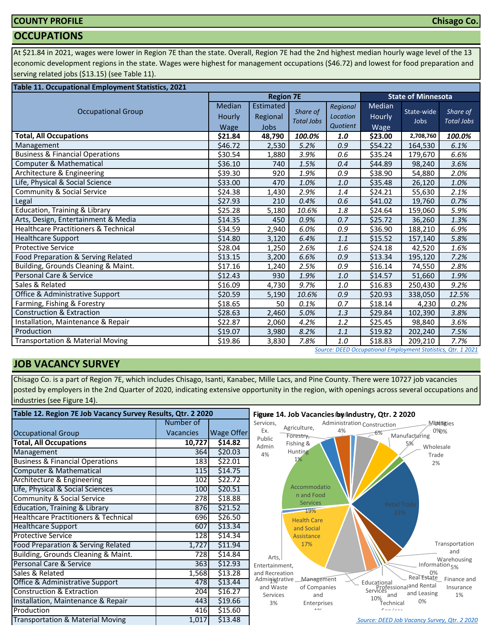## **COUNTY PROFILE**

#### **OCCUPATIONS**

At \$21.84 in 2021, wages were lower in Region 7E than the state. Overall, Region 7E had the 2nd highest median hourly wage level of the 13 economic development regions in the state. Wages were highest for management occupations (\$46.72) and lowest for food preparation and serving related jobs (\$13.15) (see Table 11).

| Table 11. Occupational Employment Statistics, 2021 |                                 |                               |                               |                                  |                          |                           |                               |
|----------------------------------------------------|---------------------------------|-------------------------------|-------------------------------|----------------------------------|--------------------------|---------------------------|-------------------------------|
|                                                    |                                 | <b>Region 7E</b>              |                               |                                  |                          | <b>State of Minnesota</b> |                               |
| <b>Occupational Group</b>                          | <b>Median</b><br>Hourly<br>Wage | Estimated<br>Regional<br>Jobs | Share of<br><b>Total Jobs</b> | Regional<br>Location<br>Quotient | Median<br>Hourly<br>Wage | State-wide<br>Jobs        | Share of<br><b>Total Jobs</b> |
| <b>Total, All Occupations</b>                      | \$21.84                         | 48,790                        | 100.0%                        | 1.0                              | \$23.00                  | 2,708,760                 | 100.0%                        |
| Management                                         | \$46.72                         | 2,530                         | 5.2%                          | 0.9                              | \$54.22                  | 164,530                   | 6.1%                          |
| <b>Business &amp; Financial Operations</b>         | \$30.54                         | 1,880                         | 3.9%                          | 0.6                              | \$35.24                  | 179,670                   | 6.6%                          |
| Computer & Mathematical                            | \$36.10                         | 740                           | 1.5%                          | 0.4                              | \$44.89                  | 98,240                    | 3.6%                          |
| Architecture & Engineering                         | \$39.30                         | 920                           | 1.9%                          | 0.9                              | \$38.90                  | 54,880                    | 2.0%                          |
| Life, Physical & Social Science                    | \$33.00                         | 470                           | 1.0%                          | 1.0                              | \$35.48                  | 26,120                    | 1.0%                          |
| Community & Social Service                         | \$24.38                         | 1,430                         | 2.9%                          | 1.4                              | \$24.21                  | 55,630                    | 2.1%                          |
| Legal                                              | \$27.93                         | 210                           | 0.4%                          | 0.6                              | \$41.02                  | 19,760                    | 0.7%                          |
| Education, Training & Library                      | \$25.28                         | 5,180                         | 10.6%                         | 1.8                              | \$24.64                  | 159,060                   | 5.9%                          |
| Arts, Design, Entertainment & Media                | \$14.35                         | 450                           | 0.9%                          | 0.7                              | \$25.72                  | 36,260                    | 1.3%                          |
| <b>Healthcare Practitioners &amp; Technical</b>    | \$34.59                         | 2,940                         | 6.0%                          | 0.9                              | \$36.90                  | 188,210                   | 6.9%                          |
| <b>Healthcare Support</b>                          | \$14.80                         | 3,120                         | 6.4%                          | 1.1                              | \$15.52                  | 157,140                   | 5.8%                          |
| <b>Protective Service</b>                          | \$28.04                         | 1,250                         | 2.6%                          | 1.6                              | \$24.18                  | 42,520                    | 1.6%                          |
| Food Preparation & Serving Related                 | \$13.15                         | 3,200                         | 6.6%                          | 0.9                              | \$13.34                  | 195,120                   | 7.2%                          |
| Building, Grounds Cleaning & Maint.                | \$17.16                         | 1,240                         | 2.5%                          | 0.9                              | \$16.14                  | 74,550                    | 2.8%                          |
| Personal Care & Service                            | \$12.43                         | 930                           | 1.9%                          | 1.0                              | \$14.57                  | 51,660                    | 1.9%                          |
| Sales & Related                                    | \$16.09                         | 4,730                         | 9.7%                          | 1.0                              | \$16.83                  | 250,430                   | 9.2%                          |
| Office & Administrative Support                    | \$20.59                         | 5,190                         | 10.6%                         | 0.9                              | \$20.93                  | 338,050                   | 12.5%                         |
| Farming, Fishing & Forestry                        | \$18.65                         | 50                            | 0.1%                          | 0.7                              | \$18.14                  | 4,230                     | 0.2%                          |
| <b>Construction &amp; Extraction</b>               | \$28.63                         | 2,460                         | 5.0%                          | 1.3                              | \$29.84                  | 102,390                   | 3.8%                          |
| Installation, Maintenance & Repair                 | \$22.87                         | 2,060                         | 4.2%                          | 1.2                              | \$25.45                  | 98,840                    | 3.6%                          |
| Production                                         | \$19.07                         | 3,980                         | 8.2%                          | 1.1                              | \$19.82                  | 202,240                   | 7.5%                          |
| <b>Transportation &amp; Material Moving</b>        | \$19.86                         | 3,830                         | 7.8%                          | 1.0                              | \$18.83                  | 209,210                   | 7.7%                          |

#### *[S](http://www.mn.gov/deed/data/data-tools/oes/)ource: DEED Occupational Employment Statistics, Qtr. 1 2021*

## **JOB VACANCY SURVEY**

Chisago Co. is a part of Region 7E, which includes Chisago, Isanti, Kanabec, Mille Lacs, and Pine County. There were 10727 job vacancies posted by employers in the 2nd Quarter of 2020, indicating extensive opportunity in the region, with openings across several occupations and industries (see Figure 14).

| Table 12. Region 7E Job Vacancy Survey Results, Qtr. 2 2020 |                  |            | Figure 14. Job Vacancies by Industry, Qtr. 2 2020                                                                                           |  |  |  |  |  |
|-------------------------------------------------------------|------------------|------------|---------------------------------------------------------------------------------------------------------------------------------------------|--|--|--|--|--|
|                                                             | Number of        |            | Services,<br>Administration Construction<br>Muthities<br>Agriculture,                                                                       |  |  |  |  |  |
| <b>Occupational Group</b>                                   | <b>Vacancies</b> | Wage Offer | Ex.<br>0%0%<br>4%<br>$-6%$<br>Manufacturing<br>Forestry,                                                                                    |  |  |  |  |  |
| <b>Total, All Occupations</b>                               | 10,727           | \$14.82    | Public<br>Fishing &<br>5%<br>Admin<br>Wholesale                                                                                             |  |  |  |  |  |
| Management                                                  | 364              | \$20.03    | Hunting<br>4%<br>Trade                                                                                                                      |  |  |  |  |  |
| <b>Business &amp; Financial Operations</b>                  | 183              | \$22.01    | 1%<br>2%                                                                                                                                    |  |  |  |  |  |
| Computer & Mathematical                                     | 115              | \$14.75    |                                                                                                                                             |  |  |  |  |  |
| Architecture & Engineering                                  | 102              | \$22.72    |                                                                                                                                             |  |  |  |  |  |
| Life, Physical & Social Sciences                            | 100              | \$20.51    | Accommodatio                                                                                                                                |  |  |  |  |  |
| <b>Community &amp; Social Service</b>                       | 278              | \$18.88    | n and Food<br><b>Services</b>                                                                                                               |  |  |  |  |  |
| <b>Education, Training &amp; Library</b>                    | 876              | \$21.52    | <b>Retail Trade</b><br>19%<br>22%                                                                                                           |  |  |  |  |  |
| <b>Healthcare Practitioners &amp; Technical</b>             | 696              | \$26.50    | <b>Health Care</b>                                                                                                                          |  |  |  |  |  |
| <b>Healthcare Support</b>                                   | 607              | \$13.34    | and Social                                                                                                                                  |  |  |  |  |  |
| <b>Protective Service</b>                                   | 128              | \$14.34    | Assistance                                                                                                                                  |  |  |  |  |  |
| Food Preparation & Serving Related                          | 1,727            | \$11.94    | Transportation<br>17%                                                                                                                       |  |  |  |  |  |
| Building, Grounds Cleaning & Maint.                         | 728              | \$14.84    | and<br>Arts.<br>Warehousing                                                                                                                 |  |  |  |  |  |
| Personal Care & Service                                     | 363              | \$12.93    | Information <sub>5%</sub><br>Entertainment,                                                                                                 |  |  |  |  |  |
| Sales & Related                                             | 1,568            | \$13.28    | and Recreation<br>0%<br>Real Estate                                                                                                         |  |  |  |  |  |
| Office & Administrative Support                             | 478              | \$13.44    | Finance and<br>Management<br>Administrative<br>Educational<br>Professional and Rental<br>Services<br>and Waste<br>of Companies<br>Insurance |  |  |  |  |  |
| <b>Construction &amp; Extraction</b>                        | 204              | \$16.27    | and Leasing<br>1%<br>Services<br>and<br>and                                                                                                 |  |  |  |  |  |
| Installation, Maintenance & Repair                          | 443              | \$19.66    | 10%<br>0%<br>3%<br>.<br>Technical<br>Enterprises                                                                                            |  |  |  |  |  |
| Production                                                  | 416              | \$15.60    | 40/<br>معمان سمام                                                                                                                           |  |  |  |  |  |
| Transportation & Material Moving                            | 1,017            | \$13.48    | Source: DEED Job Vacancy Survey, Qtr. 2 2020                                                                                                |  |  |  |  |  |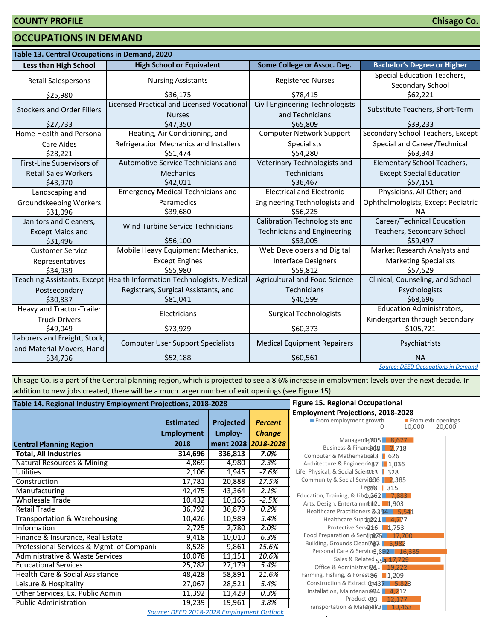#### **OCCUPATIONS IN DEMAND**

| Table 13. Central Occupations in Demand, 2020             |                                                                         |                                                           |                                                 |  |  |  |
|-----------------------------------------------------------|-------------------------------------------------------------------------|-----------------------------------------------------------|-------------------------------------------------|--|--|--|
| <b>Less than High School</b>                              | <b>High School or Equivalent</b>                                        | Some College or Assoc. Deg.                               | <b>Bachelor's Degree or Higher</b>              |  |  |  |
| <b>Retail Salespersons</b>                                | <b>Nursing Assistants</b>                                               | <b>Registered Nurses</b>                                  | Special Education Teachers,<br>Secondary School |  |  |  |
| \$25,980                                                  | \$36,175                                                                | \$78,415                                                  | \$62,221                                        |  |  |  |
| <b>Stockers and Order Fillers</b>                         | Licensed Practical and Licensed Vocational<br><b>Nurses</b>             | <b>Civil Engineering Technologists</b><br>and Technicians | Substitute Teachers, Short-Term                 |  |  |  |
| \$27,733                                                  | \$47,350                                                                | \$65,809                                                  | \$39,233                                        |  |  |  |
| Home Health and Personal                                  | Heating, Air Conditioning, and                                          | <b>Computer Network Support</b>                           | Secondary School Teachers, Except               |  |  |  |
| <b>Care Aides</b><br>\$28,221                             | Refrigeration Mechanics and Installers<br>\$51,474                      | Specialists<br>\$54,280                                   | Special and Career/Technical<br>\$63,343        |  |  |  |
| First-Line Supervisors of                                 | Automotive Service Technicians and                                      | Veterinary Technologists and                              | <b>Elementary School Teachers,</b>              |  |  |  |
| <b>Retail Sales Workers</b><br>\$43,970                   | Mechanics<br>\$42,011                                                   | <b>Technicians</b><br>\$36,467                            | <b>Except Special Education</b><br>\$57,151     |  |  |  |
| Landscaping and                                           | <b>Emergency Medical Technicians and</b>                                | <b>Electrical and Electronic</b>                          | Physicians, All Other; and                      |  |  |  |
| Groundskeeping Workers<br>\$31,096                        | Paramedics<br>\$39,680                                                  | Engineering Technologists and<br>\$56,225                 | Ophthalmologists, Except Pediatric<br><b>NA</b> |  |  |  |
| Janitors and Cleaners,                                    |                                                                         | Calibration Technologists and                             | <b>Career/Technical Education</b>               |  |  |  |
| <b>Except Maids and</b>                                   | Wind Turbine Service Technicians                                        | <b>Technicians and Engineering</b>                        | Teachers, Secondary School                      |  |  |  |
| \$31,496                                                  | \$56,100                                                                | \$53,005                                                  | \$59,497                                        |  |  |  |
| <b>Customer Service</b>                                   | Mobile Heavy Equipment Mechanics,                                       | Web Developers and Digital                                | Market Research Analysts and                    |  |  |  |
| Representatives<br>\$34,939                               | <b>Except Engines</b><br>\$55,980                                       | <b>Interface Designers</b><br>\$59,812                    | <b>Marketing Specialists</b><br>\$57,529        |  |  |  |
|                                                           | Teaching Assistants, Except   Health Information Technologists, Medical | Agricultural and Food Science                             | Clinical, Counseling, and School                |  |  |  |
| Postsecondary<br>\$30,837                                 | Registrars, Surgical Assistants, and<br>\$81,041                        | <b>Technicians</b><br>\$40,599                            | Psychologists<br>\$68,696                       |  |  |  |
| Heavy and Tractor-Trailer                                 | Electricians                                                            | <b>Surgical Technologists</b>                             | <b>Education Administrators,</b>                |  |  |  |
| <b>Truck Drivers</b>                                      |                                                                         |                                                           | Kindergarten through Secondary                  |  |  |  |
| \$49,049                                                  | \$73,929                                                                | \$60,373                                                  | \$105,721                                       |  |  |  |
| Laborers and Freight, Stock,<br>and Material Movers, Hand | <b>Computer User Support Specialists</b>                                | <b>Medical Equipment Repairers</b>                        | Psychiatrists                                   |  |  |  |
| \$34,736                                                  | \$52,188                                                                | \$60,561                                                  | <b>NA</b>                                       |  |  |  |
|                                                           |                                                                         |                                                           | <b>Source: DEED Occupations in Demand</b>       |  |  |  |

Chisago Co. is a part of the Central planning region, which is projected to see a 8.6% increase in employment levels over the next decade. In addition to new jobs created, there will be a much larger number of exit openings (see Figure 15).

| Table 14. Regional Industry Employment Projections, 2018-2028 | <b>Figure 15. Regional Occupational</b>   |                     |                |                                                                               |
|---------------------------------------------------------------|-------------------------------------------|---------------------|----------------|-------------------------------------------------------------------------------|
|                                                               | <b>Estimated</b>                          | Projected           | <b>Percent</b> | <b>Employment Projections, 2018-20</b><br>From employment growth              |
|                                                               | <b>Employment</b>                         | Employ-             | <b>Change</b>  |                                                                               |
| <b>Central Planning Region</b>                                | 2018                                      | ment 2028 2018-2028 |                | Manageme, 205 8,67<br>Business & Financo 68 2,71                              |
| <b>Total, All Industries</b>                                  | 314,696                                   | 336,813             | 7.0%           | Computer & Mathemati 383   626                                                |
| <b>Natural Resources &amp; Mining</b>                         | 4,869                                     | 4,980               | 2.3%           | Architecture & Engineeri487   1,036                                           |
| <b>Utilities</b>                                              | 2,106                                     | 1,945               | $-7.6%$        | Life, Physical, & Social Scier2:13<br>328                                     |
| Construction                                                  | 17,781                                    | 20,888              | 17.5%          | Community & Social Servi&06 2,38!                                             |
| Manufacturing                                                 | 42,475                                    | 43,364              | 2.1%           | Leg5 <sup>8</sup><br>315                                                      |
| <b>Wholesale Trade</b>                                        | 10,432                                    | 10,166              | $-2.5%$        | Education, Training, & Libra, 262 7,88<br>Arts, Design, Entertainmenn 2 1,903 |
| <b>Retail Trade</b>                                           | 36,792                                    | 36,879              | 0.2%           | Healthcare Practitioners 3,394 5,                                             |
| Transportation & Warehousing                                  | 10,426                                    | 10,989              | 5.4%           | Healthcare Suppo221 4,77                                                      |
| Information                                                   | 2,725                                     | 2,780               | 2.0%           | Protective Serv <sub>R<sup>2</sup>6</sub> 1,753                               |
| Finance & Insurance, Real Estate                              | 9,418                                     | 10,010              | 6.3%           | Food Preparation & Service 7.5 17,                                            |
| Professional Services & Mgmt. of Compani                      | 8,528                                     | 9,861               | 15.6%          | Building, Grounds Cleaning7. 5,982<br>Personal Care & Service3,892 1          |
| <b>Administrative &amp; Waste Services</b>                    | 10,078                                    | 11,151              | 10.6%          | Sales & Related 554 17,72                                                     |
| <b>Educational Services</b>                                   | 25,782                                    | 27,179              | 5.4%           | Office & Administrati@4 19,22                                                 |
| Health Care & Social Assistance                               | 48,428                                    | 58,891              | 21.6%          | Farming, Fishing, & Forest&6 1,209                                            |
| Leisure & Hospitality                                         | 27,067                                    | 28,521              | 5.4%           | Construction & Extraction 437 5,8                                             |
| Other Services, Ex. Public Admin                              | 11,392                                    | 11,429              | 0.3%           | Installation, Maintenan@24   4,21                                             |
| <b>Public Administration</b>                                  | 19,239                                    | 19,961              | 3.8%           | Production3<br>12,17<br>Transportation & Matdri473 10,4                       |
|                                                               | Source: DEED 2018-2028 Employment Outlook |                     |                |                                                                               |